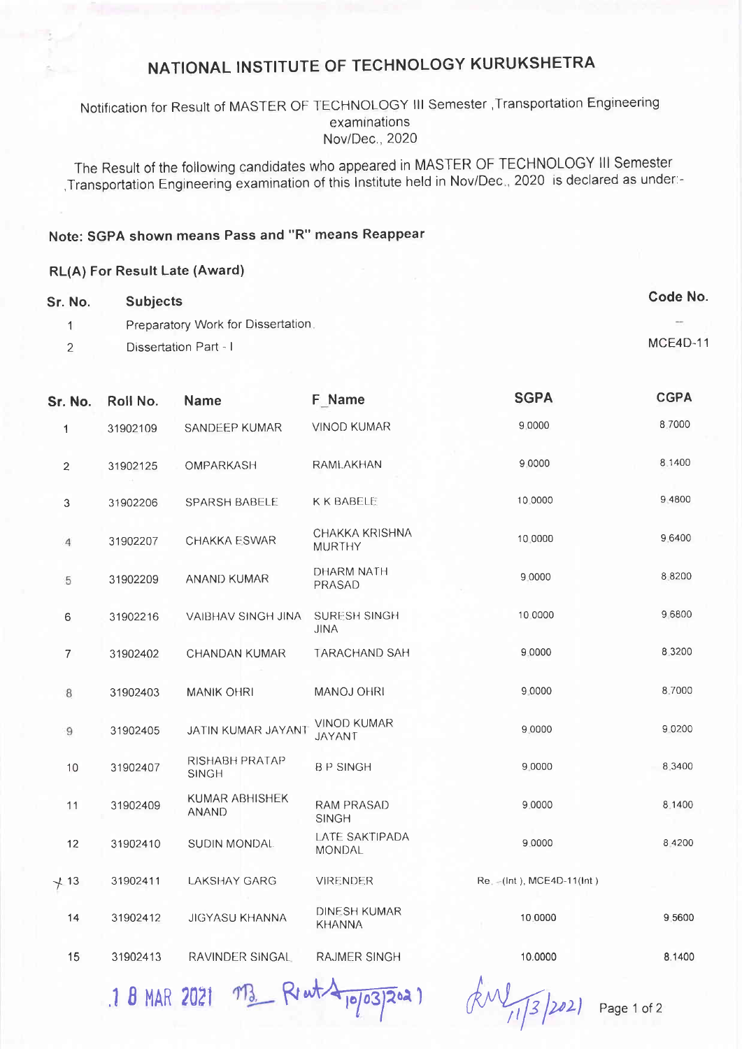# NATIONAL INSTITUTE OF TECHNOLOGY KURUKSHETRA

#### Notification for Result of MASTER OF TECHNOLOGY III Semester , Transportation Engineering examinations Nov/Dec., 2020

The Result of the following candidates who appeared in MASTER OF TECHNOLOGY III Semester , Transportation Engineering examination of this Institute held in Nov/Dec., 2020 is declared as under:-

## Note: SGPA shown means Pass and "R" means Reappear

#### **RL(A) For Result Late (Award)**

| Sr. No. | <b>Subjects</b>                    | Code No. |
|---------|------------------------------------|----------|
|         | Preparatory Work for Dissertation. | $\sim$   |
|         | Dissertation Part - I              | MCE4D-11 |

| Sr. No.        | Roll No. | <b>Name</b>                    | F Name                               | <b>SGPA</b>                   | <b>CGPA</b> |
|----------------|----------|--------------------------------|--------------------------------------|-------------------------------|-------------|
| 1              | 31902109 | SANDEEP KUMAR                  | <b>VINOD KUMAR</b>                   | 9.0000                        | 8.7000      |
| $\overline{2}$ | 31902125 | OMPARKASH                      | RAMLAKHAN                            | 9 0000                        | 8.1400      |
| 3              | 31902206 | SPARSH BABELE                  | <b>K K BABELE</b>                    | 10.0000                       | 9 4800      |
| 4              | 31902207 | CHAKKA ESWAR                   | CHAKKA KRISHNA<br><b>MURTHY</b>      | 10.0000                       | 9.6400      |
| 5              | 31902209 | <b>ANAND KUMAR</b>             | DHARM NATH<br>PRASAD                 | 9.0000                        | 8 8 2 0 0   |
| $\,$ 6         | 31902216 | VAIBHAV SINGH JINA             | <b>SURESH SINGH</b><br><b>JINA</b>   | 10.0000                       | 96800       |
| $\overline{7}$ | 31902402 | <b>CHANDAN KUMAR</b>           | <b>TARACHAND SAH</b>                 | 9.0000                        | 8 3 2 0 0   |
| $\,$ 8 $\,$    | 31902403 | <b>MANIK OHRI</b>              | MANOJ OHRI                           | 9.0000                        | 8.7000      |
| $\mathbf{9}$   | 31902405 | JATIN KUMAR JAYANT             | <b>VINOD KUMAR</b><br><b>JAYANT</b>  | 9 0000                        | 9 0 2 0 0   |
| 10             | 31902407 | RISHABH PRATAP<br><b>SINGH</b> | <b>BP SINGH</b>                      | 9.0000                        | 8.3400      |
| 11             | 31902409 | KUMAR ABHISHEK<br><b>ANAND</b> | RAM PRASAD<br><b>SINGH</b>           | 9.0000                        | 8.1400      |
| 12             | 31902410 | SUDIN MONDAL                   | LATE SAKTIPADA<br>MONDAL             | 9.0000                        | 8 4 2 0 0   |
| $+13$          | 31902411 | <b>LAKSHAY GARG</b>            | <b>VIRENDER</b>                      | Re. -- (Int.), MCE4D-11(Int.) |             |
| 14             | 31902412 | <b>JIGYASU KHANNA</b>          | <b>DINESH KUMAR</b><br><b>KHANNA</b> | 10.0000                       | 9.5600      |
| 15             | 31902413 | RAVINDER SINGAL                | <b>RAJMER SINGH</b>                  | 10.0000                       | 8.1400      |
|                |          |                                |                                      |                               |             |

1 B MAR 2021 M3 Rent Appo3/2021

 $kM_{11/3}$  [2021

Page 1 of 2